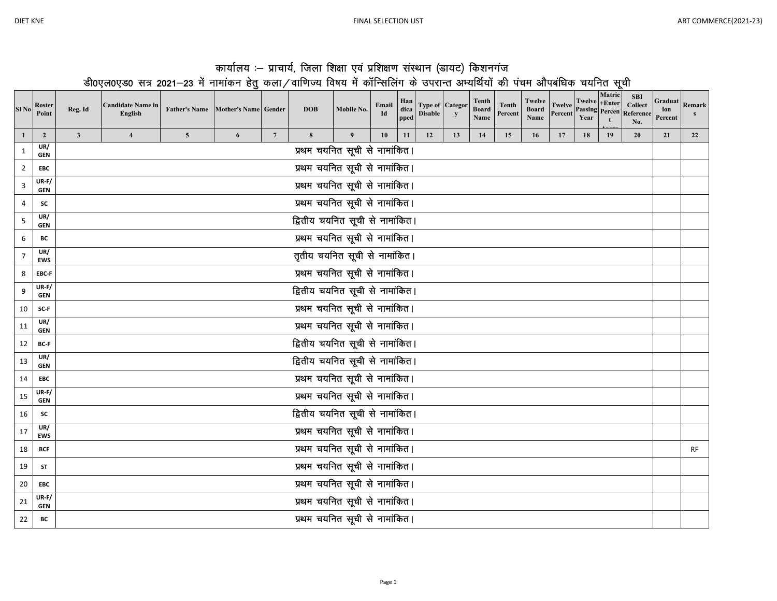| कार्यालय :– प्राचार्य, जिला शिक्षा एवं प्रशिक्षण संस्थान (डायट) किशनगंज                                                   |  |
|---------------------------------------------------------------------------------------------------------------------------|--|
| डी0एल0एड0 सत्र 2021–23 में नामांकन हेतु कला/वाणिज्य विषय में कॉन्सिलिंग के उपरान्त अभ्यर्थियों की पंचम औपबंधिक चयनित सूची |  |

| Sl <sub>No</sub> | Roster<br>Point       | Reg. Id                         | <b>Candidate Name in</b><br>English |                | Father's Name Mother's Name Gender |                 | <b>DOB</b>                      | Mobile No.                    | Email<br>Id | Han<br>dica<br>pped | <b>Disable</b> | <b>Type of Categor</b><br>y | Tenth<br>Board<br>Name | Tenth<br>Percent | Twelve<br>Board<br>Name | <b>Twelve</b><br>Percent | Twelve +Enter<br>Year | Matric<br>t | <b>SBI</b><br><b>Collect</b><br><b>Passing Percen Reference</b><br>No. | ion<br>Percent | Graduat Remark |
|------------------|-----------------------|---------------------------------|-------------------------------------|----------------|------------------------------------|-----------------|---------------------------------|-------------------------------|-------------|---------------------|----------------|-----------------------------|------------------------|------------------|-------------------------|--------------------------|-----------------------|-------------|------------------------------------------------------------------------|----------------|----------------|
|                  | $\overline{2}$<br>UR/ | $\mathbf{3}$                    | $\overline{4}$                      | $\overline{5}$ | 6                                  | $7\phantom{.0}$ | 8                               | 9                             | 10          | 11                  | 12             | 13                          | 14                     | 15               | 16                      | 17                       | 18                    | 19          | 20                                                                     | 21             | 22             |
| $\mathbf{1}$     | <b>GEN</b>            |                                 |                                     |                |                                    |                 |                                 | प्रथम चयनित सूची से नामांकित। |             |                     |                |                             |                        |                  |                         |                          |                       |             |                                                                        |                |                |
| $\overline{2}$   | <b>EBC</b>            |                                 |                                     |                |                                    |                 |                                 | प्रथम चयनित सूची से नामांकित। |             |                     |                |                             |                        |                  |                         |                          |                       |             |                                                                        |                |                |
| 3                | UR-F/<br><b>GEN</b>   |                                 |                                     |                |                                    |                 |                                 | प्रथम चयनित सूची से नामांकित। |             |                     |                |                             |                        |                  |                         |                          |                       |             |                                                                        |                |                |
| 4                | <b>SC</b>             | प्रथम चयनित सूची से नामांकित।   |                                     |                |                                    |                 |                                 |                               |             |                     |                |                             |                        |                  |                         |                          |                       |             |                                                                        |                |                |
| 5                | UR/<br><b>GEN</b>     | द्वितीय चयनित सूची से नामांकित। |                                     |                |                                    |                 |                                 |                               |             |                     |                |                             |                        |                  |                         |                          |                       |             |                                                                        |                |                |
| 6                | BС                    | प्रथम चयनित सूची से नामांकित।   |                                     |                |                                    |                 |                                 |                               |             |                     |                |                             |                        |                  |                         |                          |                       |             |                                                                        |                |                |
| 7                | UR/<br><b>EWS</b>     | तृतीय चयनित सूची से नामांकित।   |                                     |                |                                    |                 |                                 |                               |             |                     |                |                             |                        |                  |                         |                          |                       |             |                                                                        |                |                |
| 8                | EBC-F                 | प्रथम चयनित सूची से नामांकित।   |                                     |                |                                    |                 |                                 |                               |             |                     |                |                             |                        |                  |                         |                          |                       |             |                                                                        |                |                |
| 9                | UR-F/<br><b>GEN</b>   | द्वितीय चयनित सूची से नामांकित। |                                     |                |                                    |                 |                                 |                               |             |                     |                |                             |                        |                  |                         |                          |                       |             |                                                                        |                |                |
| 10               | SC-F                  | प्रथम चयनित सूची से नामांकित।   |                                     |                |                                    |                 |                                 |                               |             |                     |                |                             |                        |                  |                         |                          |                       |             |                                                                        |                |                |
| 11               | UR/<br><b>GEN</b>     |                                 |                                     |                |                                    |                 |                                 | प्रथम चयनित सूची से नामांकित। |             |                     |                |                             |                        |                  |                         |                          |                       |             |                                                                        |                |                |
| 12               | <b>BC-F</b>           |                                 |                                     |                |                                    |                 | द्वितीय चयनित सूची से नामांकित। |                               |             |                     |                |                             |                        |                  |                         |                          |                       |             |                                                                        |                |                |
| 13               | UR/<br><b>GEN</b>     |                                 |                                     |                |                                    |                 | द्वितीय चयनित सूची से नामांकित। |                               |             |                     |                |                             |                        |                  |                         |                          |                       |             |                                                                        |                |                |
| 14               | <b>EBC</b>            |                                 |                                     |                |                                    |                 |                                 | प्रथम चयनित सूची से नामांकित। |             |                     |                |                             |                        |                  |                         |                          |                       |             |                                                                        |                |                |
| 15               | UR-F/<br><b>GEN</b>   |                                 |                                     |                |                                    |                 |                                 | प्रथम चयनित सूची से नामांकित। |             |                     |                |                             |                        |                  |                         |                          |                       |             |                                                                        |                |                |
| 16               | <b>SC</b>             |                                 |                                     |                |                                    |                 | द्वितीय चयनित सूची से नामांकित। |                               |             |                     |                |                             |                        |                  |                         |                          |                       |             |                                                                        |                |                |
| 17               | UR/<br><b>EWS</b>     |                                 |                                     |                |                                    |                 |                                 | प्रथम चयनित सूची से नामांकित। |             |                     |                |                             |                        |                  |                         |                          |                       |             |                                                                        |                |                |
| 18               | <b>BCF</b>            |                                 |                                     |                |                                    |                 |                                 | प्रथम चयनित सूची से नामांकित। |             |                     |                |                             |                        |                  |                         |                          |                       |             |                                                                        |                | <b>RF</b>      |
| 19               | ST                    |                                 |                                     |                |                                    |                 |                                 | प्रथम चयनित सूची से नामांकित। |             |                     |                |                             |                        |                  |                         |                          |                       |             |                                                                        |                |                |
| 20               | <b>EBC</b>            |                                 |                                     |                |                                    |                 |                                 | प्रथम चयनित सूची से नामांकित। |             |                     |                |                             |                        |                  |                         |                          |                       |             |                                                                        |                |                |
| 21               | UR-F/<br><b>GEN</b>   |                                 |                                     |                |                                    |                 |                                 | प्रथम चयनित सूची से नामांकित। |             |                     |                |                             |                        |                  |                         |                          |                       |             |                                                                        |                |                |
| 22               | BC                    |                                 |                                     |                |                                    |                 |                                 | प्रथम चयनित सूची से नामांकित। |             |                     |                |                             |                        |                  |                         |                          |                       |             |                                                                        |                |                |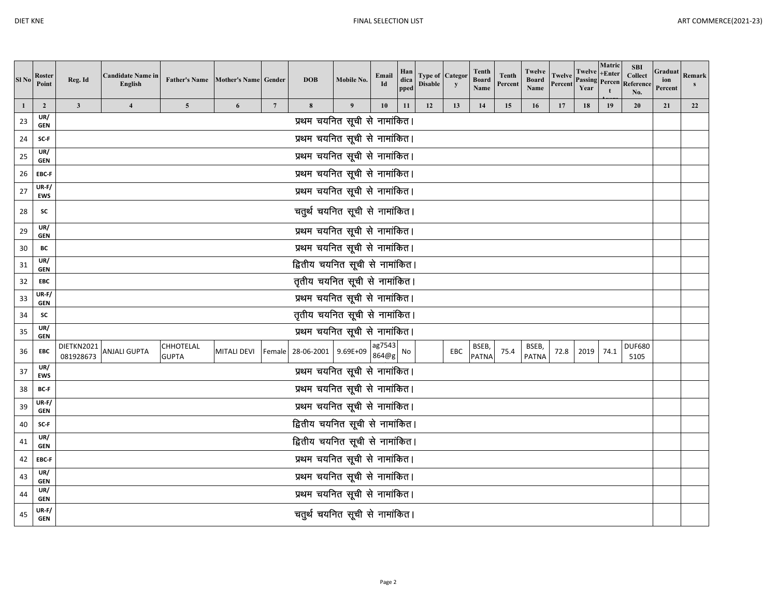| Sl <sub>No</sub> | Roster<br>Point       | Reg. Id                         | <b>Candidate Name in</b><br>English | <b>Father's Name</b>             | Mother's Name Gender |                 | <b>DOB</b>                      | Mobile No.                    | Email<br>Id     | Han<br>dica<br>pped | <b>Disable</b> | <b>Type of Categor</b><br>y | Tenth<br><b>Board</b><br>Name | <b>Tenth</b><br>Percent | Twelve<br><b>Board</b><br>Name | <b>Twelve</b><br>Percent | Twelve<br><b>Passing</b> Percen<br>Year | Matric<br>$+Enter$ | <b>SBI</b><br>Collect<br>Reference<br>No. | Graduat<br>ion<br>Percent | Remark<br>s |
|------------------|-----------------------|---------------------------------|-------------------------------------|----------------------------------|----------------------|-----------------|---------------------------------|-------------------------------|-----------------|---------------------|----------------|-----------------------------|-------------------------------|-------------------------|--------------------------------|--------------------------|-----------------------------------------|--------------------|-------------------------------------------|---------------------------|-------------|
| $\mathbf{1}$     | $\overline{2}$        | $\mathbf{3}$                    | $\overline{\mathbf{4}}$             | 5 <sup>5</sup>                   | 6                    | $7\phantom{.0}$ | 8                               | $\boldsymbol{9}$              | 10              | 11                  | 12             | 13                          | 14                            | 15                      | 16                             | 17                       | 18                                      | 19                 | 20                                        | 21                        | 22          |
| 23               | UR/<br><b>GEN</b>     |                                 |                                     |                                  |                      |                 |                                 | प्रथम चयनित सूची से नामांकित। |                 |                     |                |                             |                               |                         |                                |                          |                                         |                    |                                           |                           |             |
| 24               | SC-F                  |                                 |                                     |                                  |                      |                 |                                 | प्रथम चयनित सूची से नामांकित। |                 |                     |                |                             |                               |                         |                                |                          |                                         |                    |                                           |                           |             |
| 25               | UR/<br><b>GEN</b>     | प्रथम चयनित सूची से नामांकित।   |                                     |                                  |                      |                 |                                 |                               |                 |                     |                |                             |                               |                         |                                |                          |                                         |                    |                                           |                           |             |
| 26               | EBC-F                 | प्रथम चयनित सूची से नामांकित।   |                                     |                                  |                      |                 |                                 |                               |                 |                     |                |                             |                               |                         |                                |                          |                                         |                    |                                           |                           |             |
| 27               | $UR-F/$<br><b>EWS</b> | प्रथम चयनित सूची से नामांकित।   |                                     |                                  |                      |                 |                                 |                               |                 |                     |                |                             |                               |                         |                                |                          |                                         |                    |                                           |                           |             |
| 28               | SC                    | चतुर्थ चयनित सूची से नामांकित।  |                                     |                                  |                      |                 |                                 |                               |                 |                     |                |                             |                               |                         |                                |                          |                                         |                    |                                           |                           |             |
| 29               | UR/<br><b>GEN</b>     | प्रथम चयनित सूची से नामांकित।   |                                     |                                  |                      |                 |                                 |                               |                 |                     |                |                             |                               |                         |                                |                          |                                         |                    |                                           |                           |             |
| 30               | BC                    | प्रथम चयनित सूची से नामांकित।   |                                     |                                  |                      |                 |                                 |                               |                 |                     |                |                             |                               |                         |                                |                          |                                         |                    |                                           |                           |             |
| 31               | UR/<br><b>GEN</b>     | द्वितीय चयनित सूची से नामांकित। |                                     |                                  |                      |                 |                                 |                               |                 |                     |                |                             |                               |                         |                                |                          |                                         |                    |                                           |                           |             |
| 32               | EBC                   | तृतीय चयनित सूची से नामांकित।   |                                     |                                  |                      |                 |                                 |                               |                 |                     |                |                             |                               |                         |                                |                          |                                         |                    |                                           |                           |             |
| 33               | $UR-F/$<br><b>GEN</b> |                                 |                                     |                                  |                      |                 |                                 | प्रथम चयनित सूची से नामांकित। |                 |                     |                |                             |                               |                         |                                |                          |                                         |                    |                                           |                           |             |
| 34               | SC                    |                                 |                                     |                                  |                      |                 | तृतीय चयनित सूची से नामांकित।   |                               |                 |                     |                |                             |                               |                         |                                |                          |                                         |                    |                                           |                           |             |
| 35               | UR/<br><b>GEN</b>     |                                 |                                     |                                  |                      |                 |                                 | प्रथम चयनित सूची से नामांकित। |                 |                     |                |                             |                               |                         |                                |                          |                                         |                    |                                           |                           |             |
| 36               | EBC                   | DIETKN2021<br>081928673         | ANJALI GUPTA                        | <b>CHHOTELAL</b><br><b>GUPTA</b> | <b>MITALI DEVI</b>   |                 | Female 28-06-2001 9.69E+09      |                               | ag7543<br>864@g | No                  |                | EBC                         | BSEB,<br><b>PATNA</b>         | 75.4                    | BSEB,<br><b>PATNA</b>          | 72.8                     | 2019                                    | 74.1               | <b>DUF680</b><br>5105                     |                           |             |
| 37               | UR/<br><b>EWS</b>     |                                 |                                     |                                  |                      |                 |                                 | प्रथम चयनित सूची से नामांकित। |                 |                     |                |                             |                               |                         |                                |                          |                                         |                    |                                           |                           |             |
| 38               | BC-F                  |                                 |                                     |                                  |                      |                 |                                 | प्रथम चयनित सूची से नामांकित। |                 |                     |                |                             |                               |                         |                                |                          |                                         |                    |                                           |                           |             |
| 39               | $UR-F/$<br><b>GEN</b> |                                 |                                     |                                  |                      |                 |                                 | प्रथम चयनित सूची से नामांकित। |                 |                     |                |                             |                               |                         |                                |                          |                                         |                    |                                           |                           |             |
| 40               | SC-F                  |                                 |                                     |                                  |                      |                 | द्वितीय चयनित सूची से नामांकित। |                               |                 |                     |                |                             |                               |                         |                                |                          |                                         |                    |                                           |                           |             |
| 41               | UR/<br><b>GEN</b>     |                                 |                                     |                                  |                      |                 | द्वितीय चयनित सूची से नामांकित। |                               |                 |                     |                |                             |                               |                         |                                |                          |                                         |                    |                                           |                           |             |
| 42               | EBC-F                 |                                 |                                     |                                  |                      |                 |                                 | प्रथम चयनित सूची से नामांकित। |                 |                     |                |                             |                               |                         |                                |                          |                                         |                    |                                           |                           |             |
| 43               | UR/<br><b>GEN</b>     |                                 |                                     |                                  |                      |                 |                                 | प्रथम चयनित सूची से नामांकित। |                 |                     |                |                             |                               |                         |                                |                          |                                         |                    |                                           |                           |             |
| 44               | UR/<br><b>GEN</b>     | प्रथम चयनित सूची से नामांकित।   |                                     |                                  |                      |                 |                                 |                               |                 |                     |                |                             |                               |                         |                                |                          |                                         |                    |                                           |                           |             |
| 45               | $UR-F/$<br><b>GEN</b> |                                 |                                     |                                  |                      |                 | चतुर्थ चयनित सूची से नामांकित।  |                               |                 |                     |                |                             |                               |                         |                                |                          |                                         |                    |                                           |                           |             |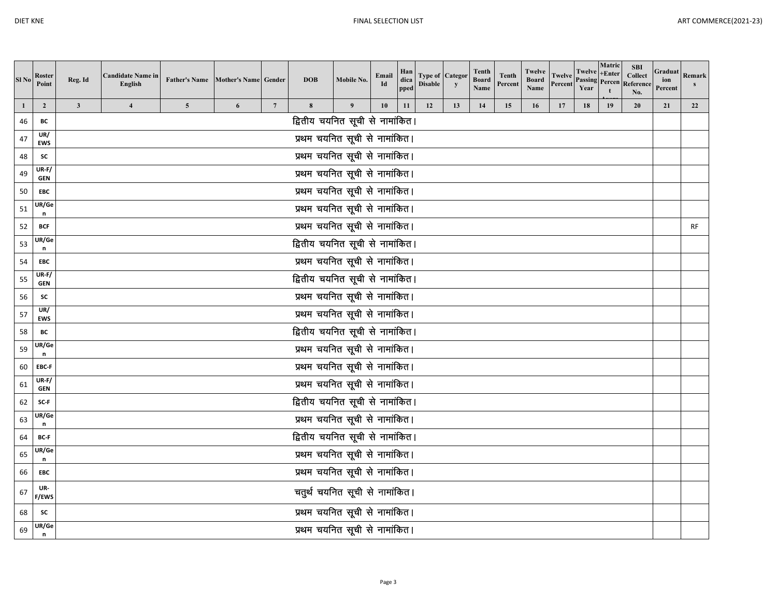| Sl No | Roster<br>Point       | Reg. Id                              | <b>Candidate Name in</b><br>English | <b>Father's Name</b> | Mother's Name Gender |                 | <b>DOB</b>                      | Mobile No. | Email<br>Id | Han<br>dica<br>pped | <b>Disable</b> | <b>Type of Categor</b><br>$\mathbf{y}$ | <b>Tenth</b><br><b>Board</b><br>Name | <b>Tenth</b><br>Percent | Twelve<br><b>Board</b><br>Name | <b>Twelve</b><br>Percent | Twelve +Enter<br>Year | Matric    | <b>SBI</b><br><b>Collect</b><br><b>Passing Percen Reference</b><br>No. | Graduat<br>ion<br>Percent | Remark<br>s |
|-------|-----------------------|--------------------------------------|-------------------------------------|----------------------|----------------------|-----------------|---------------------------------|------------|-------------|---------------------|----------------|----------------------------------------|--------------------------------------|-------------------------|--------------------------------|--------------------------|-----------------------|-----------|------------------------------------------------------------------------|---------------------------|-------------|
| 1     | $\overline{2}$        | $\mathbf{3}$                         | $\overline{\mathbf{4}}$             | $\overline{5}$       | 6                    | $7\phantom{.0}$ | 8                               | 9          | 10          | 11                  | 12             | 13                                     | 14                                   | 15                      | 16                             | 17                       | 18                    | 19        | 20                                                                     | 21                        | 22          |
| 46    | BC                    |                                      |                                     |                      |                      |                 | द्वितीय चयनित सूची से नामांकित। |            |             |                     |                |                                        |                                      |                         |                                |                          |                       |           |                                                                        |                           |             |
| 47    | UR/<br><b>EWS</b>     |                                      |                                     |                      |                      |                 | प्रथम चयनित सूची से नामांकित।   |            |             |                     |                |                                        |                                      |                         |                                |                          |                       |           |                                                                        |                           |             |
| 48    | SC                    |                                      |                                     |                      |                      |                 | प्रथम चयनित सूची से नामांकित।   |            |             |                     |                |                                        |                                      |                         |                                |                          |                       |           |                                                                        |                           |             |
| 49    | $UR-F/$<br><b>GEN</b> | ___<br>प्रथम चयनित सूची से नामांकित। |                                     |                      |                      |                 |                                 |            |             |                     |                |                                        |                                      |                         |                                |                          |                       |           |                                                                        |                           |             |
| 50    | EBC                   | प्रथम चयनित सूची से नामांकित।        |                                     |                      |                      |                 |                                 |            |             |                     |                |                                        |                                      |                         |                                |                          |                       |           |                                                                        |                           |             |
| 51    | UR/Ge<br>n            | प्रथम चयनित सूची से नामांकित।        |                                     |                      |                      |                 |                                 |            |             |                     |                |                                        |                                      |                         |                                |                          |                       |           |                                                                        |                           |             |
| 52    | <b>BCF</b>            | प्रथम चयनित सूची से नामांकित।        |                                     |                      |                      |                 |                                 |            |             |                     |                |                                        |                                      |                         |                                |                          |                       | <b>RF</b> |                                                                        |                           |             |
| 53    | UR/Ge<br>n            | द्वितीय चयनित सूची से नामांकित।      |                                     |                      |                      |                 |                                 |            |             |                     |                |                                        |                                      |                         |                                |                          |                       |           |                                                                        |                           |             |
| 54    | EBC                   | प्रथम चयनित सूची से नामांकित।        |                                     |                      |                      |                 |                                 |            |             |                     |                |                                        |                                      |                         |                                |                          |                       |           |                                                                        |                           |             |
| 55    | $UR-F/$<br><b>GEN</b> | द्वितीय चयनित सूची से नामांकित।      |                                     |                      |                      |                 |                                 |            |             |                     |                |                                        |                                      |                         |                                |                          |                       |           |                                                                        |                           |             |
| 56    | SC                    | प्रथम चयनित सूची से नामांकित।        |                                     |                      |                      |                 |                                 |            |             |                     |                |                                        |                                      |                         |                                |                          |                       |           |                                                                        |                           |             |
| 57    | UR/<br><b>EWS</b>     |                                      |                                     |                      |                      |                 | प्रथम चयनित सूची से नामांकित।   |            |             |                     |                |                                        |                                      |                         |                                |                          |                       |           |                                                                        |                           |             |
| 58    | BC                    |                                      |                                     |                      |                      |                 | द्वितीय चयनित सूची से नामांकित। |            |             |                     |                |                                        |                                      |                         |                                |                          |                       |           |                                                                        |                           |             |
| 59    | JR/Ge<br>n            |                                      |                                     |                      |                      |                 | प्रथम चयनित सूची से नामांकित।   |            |             |                     |                |                                        |                                      |                         |                                |                          |                       |           |                                                                        |                           |             |
| 60    | EBC-F                 |                                      |                                     |                      |                      |                 | प्रथम चयनित सूची से नामांकित।   |            |             |                     |                |                                        |                                      |                         |                                |                          |                       |           |                                                                        |                           |             |
| 61    | $UR-F/$<br><b>GEN</b> |                                      |                                     |                      |                      |                 | प्रथम चयनित सूची से नामांकित।   |            |             |                     |                |                                        |                                      |                         |                                |                          |                       |           |                                                                        |                           |             |
| 62    | SC-F                  |                                      |                                     |                      |                      |                 | द्वितीय चयनित सूची से नामांकित। |            |             |                     |                |                                        |                                      |                         |                                |                          |                       |           |                                                                        |                           |             |
| 63    | JR/Ge<br>n            |                                      |                                     |                      |                      |                 | प्रथम चयनित सूची से नामांकित।   |            |             |                     |                |                                        |                                      |                         |                                |                          |                       |           |                                                                        |                           |             |
| 64    | BC-F                  |                                      |                                     |                      |                      |                 | द्वितीय चयनित सूची से नामांकित। |            |             |                     |                |                                        |                                      |                         |                                |                          |                       |           |                                                                        |                           |             |
| 65    | UR/Ge<br>n            |                                      |                                     |                      |                      |                 | प्रथम चयनित सूची से नामांकित।   |            |             |                     |                |                                        |                                      |                         |                                |                          |                       |           |                                                                        |                           |             |
| 66    | EBC                   |                                      |                                     |                      |                      |                 | प्रथम चयनित सूची से नामांकित।   |            |             |                     |                |                                        |                                      |                         |                                |                          |                       |           |                                                                        |                           |             |
| 67    | UR-<br>F/EWS          |                                      |                                     |                      |                      |                 | चतुर्थ चयनित सूची से नामांकित।  |            |             |                     |                |                                        |                                      |                         |                                |                          |                       |           |                                                                        |                           |             |
| 68    | SC                    |                                      |                                     |                      |                      |                 | प्रथम चयनित सूची से नामांकित।   |            |             |                     |                |                                        |                                      |                         |                                |                          |                       |           |                                                                        |                           |             |
| 69    | UR/Ge<br>n            |                                      |                                     |                      |                      |                 | प्रथम चयनित सूची से नामांकित।   |            |             |                     |                |                                        |                                      |                         |                                |                          |                       |           |                                                                        |                           |             |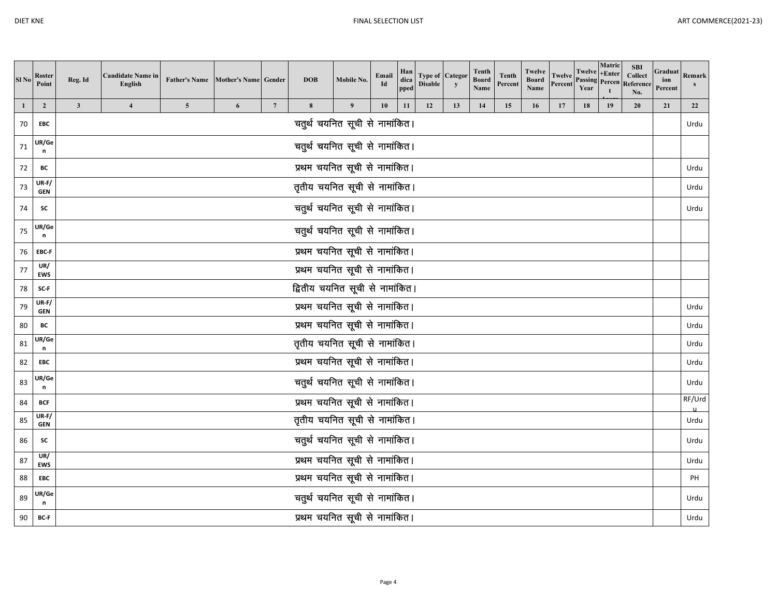| KNF<br>)IFT. |  |
|--------------|--|
|--------------|--|

| Sl <sub>No</sub> | Roster<br>Point            | Reg. Id                        | <b>Candidate Name in</b><br>English | <b>Father's Name</b>    | Mother's Name Gender |                 | <b>DOB</b>                      | Mobile No.                    | Email<br>Id | Han<br>dica<br>pped | <b>Disable</b> | <b>Type of Categor</b><br>$\mathbf{y}$ | <b>Tenth</b><br><b>Board</b><br>Name | <b>Tenth</b><br>Percent | Twelve<br>Board<br>Name | <b>Twelve</b><br>Percent | Twelve<br><b>Passing</b><br>Year | Matric<br>$+Enter$<br>Percen | <b>SBI</b><br><b>Collect</b><br>Reference<br>No. | Graduat<br>ion<br>Percent | Remark |
|------------------|----------------------------|--------------------------------|-------------------------------------|-------------------------|----------------------|-----------------|---------------------------------|-------------------------------|-------------|---------------------|----------------|----------------------------------------|--------------------------------------|-------------------------|-------------------------|--------------------------|----------------------------------|------------------------------|--------------------------------------------------|---------------------------|--------|
| $\mathbf{1}$     | $\overline{2}$             | $\mathbf{3}$                   | $\overline{\mathbf{4}}$             | $\overline{\mathbf{5}}$ | 6                    | $7\phantom{.0}$ | 8                               | 9                             | 10          | 11                  | 12             | 13                                     | 14                                   | 15                      | 16                      | 17                       | 18                               | 19                           | 20                                               | 21                        | 22     |
| 70               | EBC                        |                                |                                     |                         |                      |                 | चतुर्थ चयनित सूची से नामांकित।  |                               |             |                     |                |                                        |                                      |                         |                         |                          |                                  |                              |                                                  |                           | Urdu   |
| 71               | UR/Ge<br>n                 |                                |                                     |                         |                      |                 | चतुर्थ चयनित सूची से नामांकित।  |                               |             |                     |                |                                        |                                      |                         |                         |                          |                                  |                              |                                                  |                           |        |
| 72               | BC                         | प्रथम चयनित सूची से नामांकित।  |                                     |                         |                      |                 |                                 |                               |             |                     |                |                                        |                                      |                         |                         | Urdu                     |                                  |                              |                                                  |                           |        |
| 73               | $UR-F/$<br><b>GEN</b>      | तृतीय चयनित सूची से नामांकित।  |                                     |                         |                      |                 |                                 |                               |             |                     |                |                                        |                                      |                         |                         |                          | Urdu                             |                              |                                                  |                           |        |
| 74               | sc                         | चतुर्थ चयनित सूची से नामांकित। |                                     |                         |                      |                 |                                 |                               |             |                     |                |                                        |                                      |                         |                         |                          | Urdu                             |                              |                                                  |                           |        |
| 75               | UR/Ge<br>n                 | चतुर्थ चयनित सूची से नामांकित। |                                     |                         |                      |                 |                                 |                               |             |                     |                |                                        |                                      |                         |                         |                          |                                  |                              |                                                  |                           |        |
| 76               | EBC-F                      | प्रथम चयनित सूची से नामांकित।  |                                     |                         |                      |                 |                                 |                               |             |                     |                |                                        |                                      |                         |                         |                          |                                  |                              |                                                  |                           |        |
| 77               | UR/<br><b>EWS</b>          | प्रथम चयनित सूची से नामांकित।  |                                     |                         |                      |                 |                                 |                               |             |                     |                |                                        |                                      |                         |                         |                          |                                  |                              |                                                  |                           |        |
| 78               | SC-F                       |                                |                                     |                         |                      |                 | द्वितीय चयनित सूची से नामांकित। |                               |             |                     |                |                                        |                                      |                         |                         |                          |                                  |                              |                                                  |                           |        |
| 79               | <b>UR-F/</b><br><b>GEN</b> |                                |                                     |                         |                      |                 | प्रथम चयनित सूची से नामांकित।   |                               |             |                     |                |                                        |                                      |                         |                         |                          |                                  |                              |                                                  |                           | Urdu   |
| 80               | BC                         |                                |                                     |                         |                      |                 | प्रथम चयनित सूची से नामांकित।   |                               |             |                     |                |                                        |                                      |                         |                         |                          |                                  |                              |                                                  |                           | Urdu   |
| 81               | UR/Ge<br>$\mathsf n$       |                                |                                     |                         |                      |                 | तृतीय चयनित सूची से नामांकित।   |                               |             |                     |                |                                        |                                      |                         |                         |                          |                                  |                              |                                                  |                           | Urdu   |
| 82               | EBC                        |                                |                                     |                         |                      |                 | प्रथम चयनित सूची से नामांकित।   |                               |             |                     |                |                                        |                                      |                         |                         |                          |                                  |                              |                                                  |                           | Urdu   |
| 83               | UR/Ge<br>n                 |                                |                                     |                         |                      |                 | चतुर्थ चयनित सूची से नामांकित।  |                               |             |                     |                |                                        |                                      |                         |                         |                          |                                  |                              |                                                  |                           | Urdu   |
| 84               | <b>BCF</b>                 |                                |                                     |                         |                      |                 | प्रथम चयनित सूची से नामांकित।   |                               |             |                     |                |                                        |                                      |                         |                         |                          |                                  |                              |                                                  |                           | RF/Urd |
| 85               | $UR-F/$<br><b>GEN</b>      |                                |                                     |                         |                      |                 | तृतीय चयनित सूची से नामांकित।   |                               |             |                     |                |                                        |                                      |                         |                         |                          |                                  |                              |                                                  |                           | Urdu   |
| 86               | sc                         |                                |                                     |                         |                      |                 | चतुर्थ चयनित सूची से नामांकित।  |                               |             |                     |                |                                        |                                      |                         |                         |                          |                                  |                              |                                                  |                           | Urdu   |
| 87               | UR/<br><b>EWS</b>          |                                |                                     |                         |                      |                 |                                 | प्रथम चयनित सूची से नामांकित। |             |                     |                |                                        |                                      |                         |                         |                          |                                  |                              |                                                  |                           | Urdu   |
| 88               | <b>EBC</b>                 |                                |                                     |                         |                      |                 | प्रथम चयनित सूची से नामांकित।   |                               |             |                     |                |                                        |                                      |                         |                         |                          |                                  |                              |                                                  |                           | PH     |
| 89               | UR/Ge<br>n                 |                                |                                     |                         |                      |                 | चतुर्थ चयनित सूची से नामांकित।  |                               |             |                     |                |                                        |                                      |                         |                         |                          |                                  |                              |                                                  |                           | Urdu   |
| 90               | BC-F                       |                                |                                     |                         |                      |                 | प्रथम चयनित सूची से नामांकित।   |                               |             |                     |                |                                        |                                      |                         |                         |                          |                                  |                              |                                                  |                           | Urdu   |